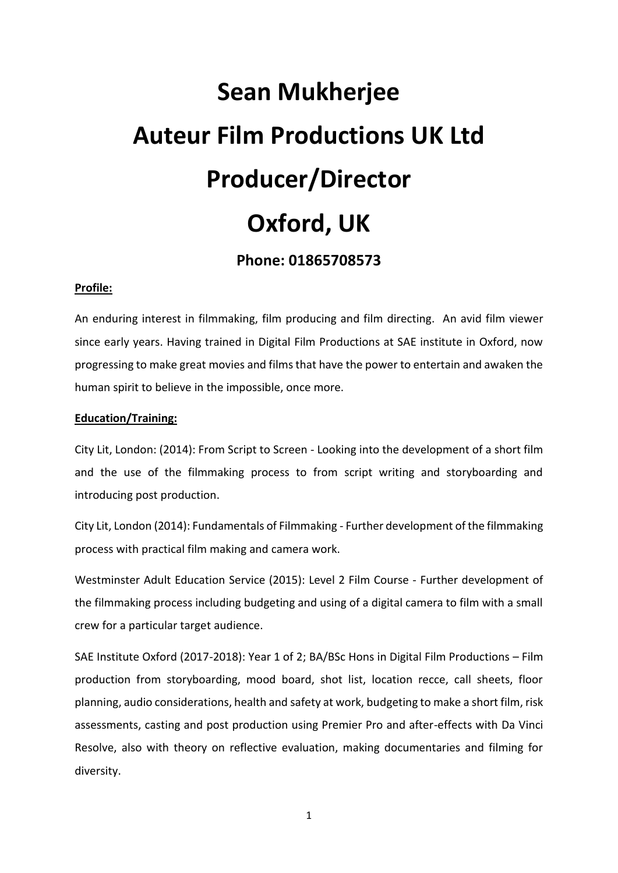# **Sean Mukherjee Auteur Film Productions UK Ltd Producer/Director Oxford, UK**

# **Phone: 01865708573**

#### **Profile:**

An enduring interest in filmmaking, film producing and film directing. An avid film viewer since early years. Having trained in Digital Film Productions at SAE institute in Oxford, now progressing to make great movies and films that have the power to entertain and awaken the human spirit to believe in the impossible, once more.

## **Education/Training:**

City Lit, London: (2014): From Script to Screen - Looking into the development of a short film and the use of the filmmaking process to from script writing and storyboarding and introducing post production.

City Lit, London (2014): Fundamentals of Filmmaking - Further development of the filmmaking process with practical film making and camera work.

Westminster Adult Education Service (2015): Level 2 Film Course - Further development of the filmmaking process including budgeting and using of a digital camera to film with a small crew for a particular target audience.

SAE Institute Oxford (2017-2018): Year 1 of 2; BA/BSc Hons in Digital Film Productions – Film production from storyboarding, mood board, shot list, location recce, call sheets, floor planning, audio considerations, health and safety at work, budgeting to make a short film, risk assessments, casting and post production using Premier Pro and after-effects with Da Vinci Resolve, also with theory on reflective evaluation, making documentaries and filming for diversity.